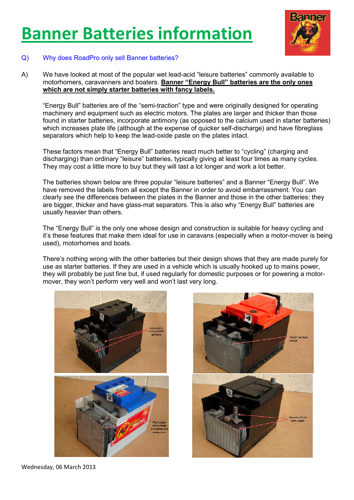# **Banner Batteries information**



# Q) Why does RoadPro only sell Banner batteries?

A) We have looked at most of the popular wet lead-acid "leisure batteries" commonly available to motorhomers, caravanners and boaters. **Banner "Energy Bull" batteries are the only ones which are not simply starter batteries with fancy labels.**

"Energy Bull" batteries are of the "semi-traction" type and were originally designed for operating machinery and equipment such as electric motors. The plates are larger and thicker than those found in starter batteries, incorporate antimony (as opposed to the calcium used in starter batteries) which increases plate life (although at the expense of quicker self-discharge) and have fibreglass separators which help to keep the lead-oxide paste on the plates intact.

These factors mean that "Energy Bull" batteries react much better to "cycling" (charging and discharging) than ordinary "leisure" batteries, typically giving at least four times as many cycles. They may cost a little more to buy but they will last a lot longer and work a lot better.

The batteries shown below are three popular "leisure batteries" and a Banner "Energy Bull". We have removed the labels from all except the Banner in order to avoid embarrassment. You can clearly see the differences between the plates in the Banner and those in the other batteries: they are bigger, thicker and have glass-mat separators. This is also why "Energy Bull" batteries are usually heavier than others.

The "Energy Bull" is the only one whose design and construction is suitable for heavy cycling and it's these features that make them ideal for use in caravans (especially when a motor-mover is being used), motorhomes and boats.

There's nothing wrong with the other batteries but their design shows that they are made purely for use as starter batteries. If they are used in a vehicle which is usually hooked up to mains power, they will probably be just fine but, if used regularly for domestic purposes or for powering a motormover, they won't perform very well and won't last very long.





Wednesday, 06 March 2013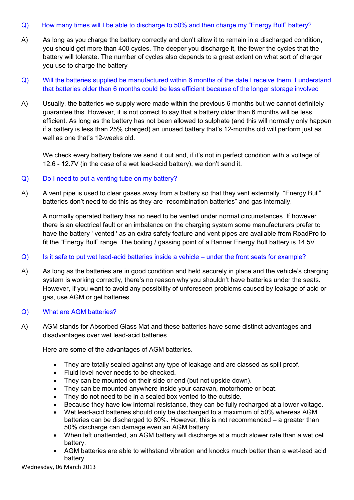# Q) How many times will I be able to discharge to 50% and then charge my "Energy Bull" battery?

- A) As long as you charge the battery correctly and don't allow it to remain in a discharged condition, you should get more than 400 cycles. The deeper you discharge it, the fewer the cycles that the battery will tolerate. The number of cycles also depends to a great extent on what sort of charger you use to charge the battery
- Q) Will the batteries supplied be manufactured within 6 months of the date I receive them. I understand that batteries older than 6 months could be less efficient because of the longer storage involved
- A) Usually, the batteries we supply were made within the previous 6 months but we cannot definitely guarantee this. However, it is not correct to say that a battery older than 6 months will be less efficient. As long as the battery has not been allowed to sulphate (and this will normally only happen if a battery is less than 25% charged) an unused battery that's 12-months old will perform just as well as one that's 12-weeks old.

We check every battery before we send it out and, if it's not in perfect condition with a voltage of 12.6 - 12.7V (in the case of a wet lead-acid battery), we don't send it.

# Q) Do I need to put a venting tube on my battery?

A) A vent pipe is used to clear gases away from a battery so that they vent externally. "Energy Bull" batteries don't need to do this as they are "recombination batteries" and gas internally.

A normally operated battery has no need to be vented under normal circumstances. If however there is an electrical fault or an imbalance on the charging system some manufacturers prefer to have the battery ' vented ' as an extra safety feature and vent pipes are available from RoadPro to fit the "Energy Bull" range. The boiling / gassing point of a Banner Energy Bull battery is 14.5V.

# Q) Is it safe to put wet lead-acid batteries inside a vehicle – under the front seats for example?

A) As long as the batteries are in good condition and held securely in place and the vehicle's charging system is working correctly, there's no reason why you shouldn't have batteries under the seats. However, if you want to avoid any possibility of unforeseen problems caused by leakage of acid or gas, use AGM or gel batteries.

# Q) What are AGM batteries?

A) AGM stands for Absorbed Glass Mat and these batteries have some distinct advantages and disadvantages over wet lead-acid batteries.

# Here are some of the advantages of AGM batteries.

- They are totally sealed against any type of leakage and are classed as spill proof.
- Fluid level never needs to be checked.
- They can be mounted on their side or end (but not upside down).
- They can be mounted anywhere inside your caravan, motorhome or boat.
- They do not need to be in a sealed box vented to the outside.
- Because they have low internal resistance, they can be fully recharged at a lower voltage.
- Wet lead-acid batteries should only be discharged to a maximum of 50% whereas AGM batteries can be discharged to 80%. However, this is not recommended – a greater than 50% discharge can damage even an AGM battery.
- When left unattended, an AGM battery will discharge at a much slower rate than a wet cell battery.
- AGM batteries are able to withstand vibration and knocks much better than a wet-lead acid battery.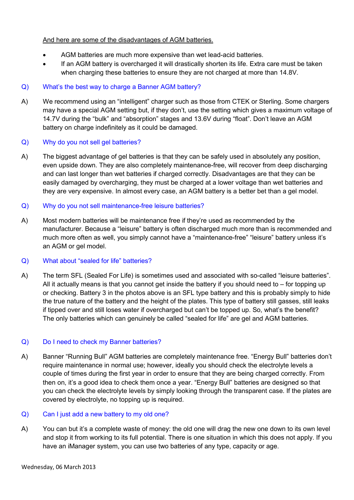# And here are some of the disadvantages of AGM batteries.

- AGM batteries are much more expensive than wet lead-acid batteries.
- If an AGM battery is overcharged it will drastically shorten its life. Extra care must be taken when charging these batteries to ensure they are not charged at more than 14.8V.

# Q) What's the best way to charge a Banner AGM battery?

A) We recommend using an "intelligent" charger such as those from CTEK or Sterling. Some chargers may have a special AGM setting but, if they don't, use the setting which gives a maximum voltage of 14.7V during the "bulk" and "absorption" stages and 13.6V during "float". Don't leave an AGM battery on charge indefinitely as it could be damaged.

# Q) Why do you not sell gel batteries?

A) The biggest advantage of gel batteries is that they can be safely used in absolutely any position, even upside down. They are also completely maintenance-free, will recover from deep discharging and can last longer than wet batteries if charged correctly. Disadvantages are that they can be easily damaged by overcharging, they must be charged at a lower voltage than wet batteries and they are very expensive. In almost every case, an AGM battery is a better bet than a gel model.

# Q) Why do you not sell maintenance-free leisure batteries?

A) Most modern batteries will be maintenance free if they're used as recommended by the manufacturer. Because a "leisure" battery is often discharged much more than is recommended and much more often as well, you simply cannot have a "maintenance-free" "leisure" battery unless it's an AGM or gel model.

# Q) What about "sealed for life" batteries?

A) The term SFL (Sealed For Life) is sometimes used and associated with so-called "leisure batteries". All it actually means is that you cannot get inside the battery if you should need to  $-$  for topping up or checking. Battery 3 in the photos above is an SFL type battery and this is probably simply to hide the true nature of the battery and the height of the plates. This type of battery still gasses, still leaks if tipped over and still loses water if overcharged but can't be topped up. So, what's the benefit? The only batteries which can genuinely be called "sealed for life" are gel and AGM batteries.

# Q) Do I need to check my Banner batteries?

A) Banner "Running Bull" AGM batteries are completely maintenance free. "Energy Bull" batteries don't require maintenance in normal use; however, ideally you should check the electrolyte levels a couple of times during the first year in order to ensure that they are being charged correctly. From then on, it's a good idea to check them once a year. "Energy Bull" batteries are designed so that you can check the electrolyte levels by simply looking through the transparent case. If the plates are covered by electrolyte, no topping up is required.

# Q) Can I just add a new battery to my old one?

A) You can but it's a complete waste of money: the old one will drag the new one down to its own level and stop it from working to its full potential. There is one situation in which this does not apply. If you have an iManager system, you can use two batteries of any type, capacity or age.